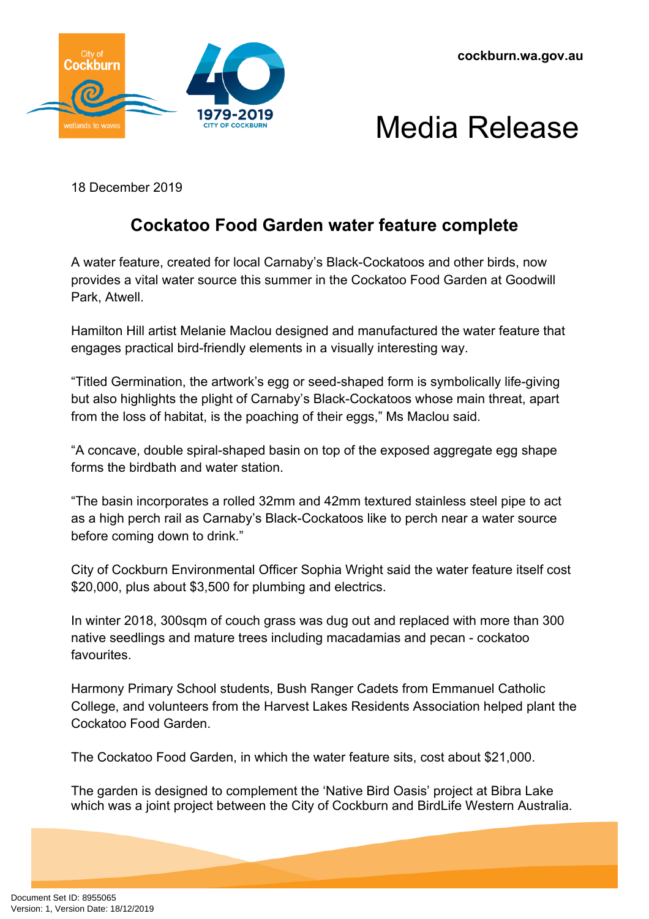



18 December 2019

## **Cockatoo Food Garden water feature complete**

A water feature, created for local Carnaby's Black-Cockatoos and other birds, now provides a vital water source this summer in the Cockatoo Food Garden at Goodwill Park, Atwell.

Hamilton Hill artist Melanie Maclou designed and manufactured the water feature that engages practical bird-friendly elements in a visually interesting way.

"Titled Germination, the artwork's egg or seed-shaped form is symbolically life-giving but also highlights the plight of Carnaby's Black-Cockatoos whose main threat, apart from the loss of habitat, is the poaching of their eggs," Ms Maclou said.

"A concave, double spiral-shaped basin on top of the exposed aggregate egg shape forms the birdbath and water station.

"The basin incorporates a rolled 32mm and 42mm textured stainless steel pipe to act as a high perch rail as Carnaby's Black-Cockatoos like to perch near a water source before coming down to drink."

City of Cockburn Environmental Officer Sophia Wright said the water feature itself cost \$20,000, plus about \$3,500 for plumbing and electrics.

In winter 2018, 300sqm of couch grass was dug out and replaced with more than 300 native seedlings and mature trees including macadamias and pecan - cockatoo favourites.

Harmony Primary School students, Bush Ranger Cadets from Emmanuel Catholic College, and volunteers from the Harvest Lakes Residents Association helped plant the Cockatoo Food Garden.

The Cockatoo Food Garden, in which the water feature sits, cost about \$21,000.

The garden is designed to complement the 'Native Bird Oasis' project at Bibra Lake which was a joint project between the City of Cockburn and BirdLife Western Australia.